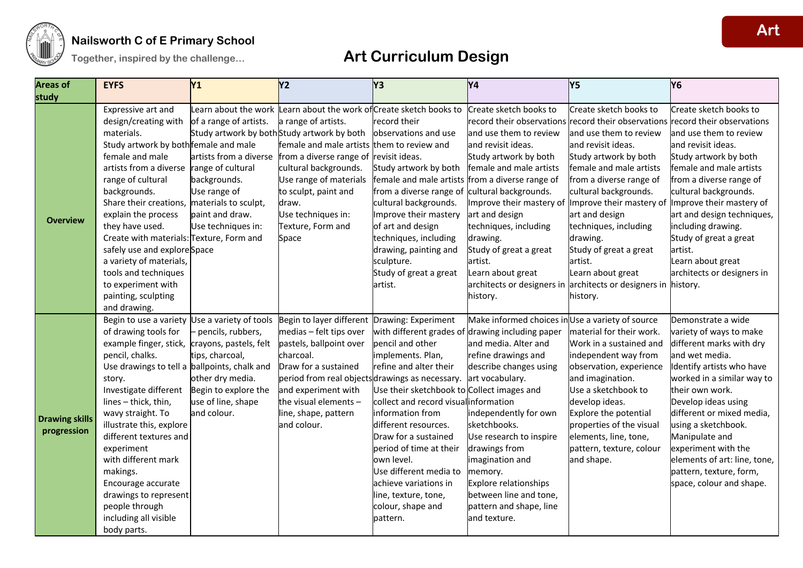

### **Nailsworth C of E Primary School**

| <b>Areas of</b>       | <b>EYFS</b>                                   | Y <sub>1</sub>         | <b>Y2</b>                                                          | Y <sub>3</sub>                             | Y4                                               | <b>Y5</b>                           | Y <sub>6</sub>                                                                |
|-----------------------|-----------------------------------------------|------------------------|--------------------------------------------------------------------|--------------------------------------------|--------------------------------------------------|-------------------------------------|-------------------------------------------------------------------------------|
| study                 |                                               |                        |                                                                    |                                            |                                                  |                                     |                                                                               |
|                       | Expressive art and                            | Learn about the work   | Learn about the work of Create sketch books to                     |                                            | Create sketch books to                           | Create sketch books to              | Create sketch books to                                                        |
|                       | design/creating with                          | of a range of artists. | a range of artists.                                                | record their                               |                                                  |                                     | record their observations record their observations record their observations |
|                       | materials.                                    |                        | Study artwork by both Study artwork by both   observations and use |                                            | and use them to review                           | and use them to review              | and use them to review                                                        |
|                       | Study artwork by both female and male         |                        | female and male artists them to review and                         |                                            | and revisit ideas.                               | and revisit ideas.                  | and revisit ideas.                                                            |
|                       | female and male                               | artists from a diverse | from a diverse range of revisit ideas.                             |                                            | Study artwork by both                            | Study artwork by both               | Study artwork by both                                                         |
|                       | artists from a diverse                        | range of cultural      | cultural backgrounds.                                              | Study artwork by both                      | female and male artists                          | female and male artists             | female and male artists                                                       |
|                       | range of cultural                             | backgrounds.           | Use range of materials                                             | female and male artists                    | from a diverse range of                          | from a diverse range of             | from a diverse range of                                                       |
|                       | backgrounds.                                  | Use range of           | to sculpt, paint and                                               | from a diverse range of                    | cultural backgrounds.                            | cultural backgrounds.               | cultural backgrounds.                                                         |
|                       | Share their creations,                        | materials to sculpt,   | draw.                                                              | cultural backgrounds.                      | Improve their mastery of                         | Improve their mastery of            | Improve their mastery of                                                      |
| <b>Overview</b>       | explain the process                           | paint and draw.        | Use techniques in:                                                 | Improve their mastery                      | art and design                                   | art and design                      | art and design techniques,                                                    |
|                       | they have used.                               | Use techniques in:     | Texture, Form and                                                  | of art and design                          | techniques, including                            | techniques, including               | including drawing.                                                            |
|                       | Create with materials: Texture, Form and      |                        | Space                                                              | techniques, including                      | drawing.                                         | drawing.                            | Study of great a great                                                        |
|                       | safely use and explore Space                  |                        |                                                                    | drawing, painting and                      | Study of great a great                           | Study of great a great              | artist.                                                                       |
|                       | a variety of materials,                       |                        |                                                                    | sculpture.                                 | artist.                                          | artist.                             | Learn about great                                                             |
|                       | tools and techniques                          |                        |                                                                    | Study of great a great                     | Learn about great                                | Learn about great                   | architects or designers in                                                    |
|                       | to experiment with                            |                        |                                                                    | artist.                                    | architects or designers in                       | architects or designers in history. |                                                                               |
|                       | painting, sculpting                           |                        |                                                                    |                                            | history.                                         | history.                            |                                                                               |
|                       | and drawing.                                  |                        |                                                                    |                                            |                                                  |                                     |                                                                               |
|                       | Begin to use a variety Use a variety of tools |                        | Begin to layer different Drawing: Experiment                       |                                            | Make informed choices in Use a variety of source |                                     | Demonstrate a wide                                                            |
|                       | of drawing tools for                          | - pencils, rubbers,    | medias - felt tips over                                            |                                            | with different grades of drawing including paper | material for their work.            | variety of ways to make                                                       |
|                       | example finger, stick,                        | crayons, pastels, felt | pastels, ballpoint over                                            | pencil and other                           | and media. Alter and                             | Work in a sustained and             | different marks with dry                                                      |
|                       | pencil, chalks.                               | tips, charcoal,        | charcoal.                                                          | implements. Plan,                          | refine drawings and                              | independent way from                | and wet media.                                                                |
|                       | Use drawings to tell a ballpoints, chalk and  |                        | Draw for a sustained                                               | refine and alter their                     | describe changes using                           | observation, experience             | Identify artists who have                                                     |
|                       | story.                                        | other dry media.       | period from real objectsdrawings as necessary.                     |                                            | art vocabulary.                                  | and imagination.                    | worked in a similar way to                                                    |
|                       | Investigate different                         | Begin to explore the   | and experiment with                                                | Use their sketchbook to Collect images and |                                                  | Use a sketchbook to                 | their own work.                                                               |
|                       | lines - thick, thin,                          | use of line, shape     | the visual elements -                                              | collect and record visual information      |                                                  | develop ideas.                      | Develop ideas using                                                           |
|                       | wavy straight. To                             | and colour.            | line, shape, pattern                                               | information from                           | independently for own                            | Explore the potential               | different or mixed media,                                                     |
| <b>Drawing skills</b> | illustrate this, explore                      |                        | and colour.                                                        | different resources.                       | sketchbooks.                                     | properties of the visual            | using a sketchbook.                                                           |
| progression           | different textures and                        |                        |                                                                    | Draw for a sustained                       | Use research to inspire                          | elements, line, tone,               | Manipulate and                                                                |
|                       | experiment                                    |                        |                                                                    | period of time at their                    | drawings from                                    | pattern, texture, colour            | experiment with the                                                           |
|                       | with different mark                           |                        |                                                                    | own level.                                 | imagination and                                  | and shape.                          | elements of art: line, tone,                                                  |
|                       | makings.                                      |                        |                                                                    | Use different media to                     | memory.                                          |                                     | pattern, texture, form,                                                       |
|                       | Encourage accurate                            |                        |                                                                    | achieve variations in                      | Explore relationships                            |                                     | space, colour and shape.                                                      |
|                       | drawings to represent                         |                        |                                                                    | line, texture, tone,                       | between line and tone,                           |                                     |                                                                               |
|                       | people through                                |                        |                                                                    | colour, shape and                          | pattern and shape, line                          |                                     |                                                                               |
|                       | including all visible                         |                        |                                                                    | pattern.                                   | and texture.                                     |                                     |                                                                               |
|                       | body parts.                                   |                        |                                                                    |                                            |                                                  |                                     |                                                                               |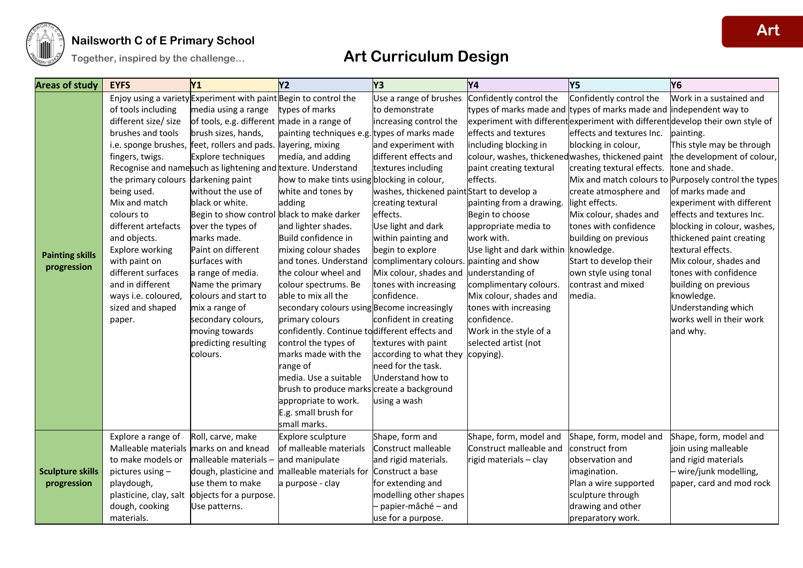

### **Nailsworth C of E Primary School**

| <b>Areas of study</b>   | <b>EYFS</b>                         | Y <sub>1</sub>                                                   | <b>Y2</b>                                     | Y <sub>3</sub>                            | <b>Y4</b>                                         | <b>Y5</b>                                                          | Y6                                                                             |
|-------------------------|-------------------------------------|------------------------------------------------------------------|-----------------------------------------------|-------------------------------------------|---------------------------------------------------|--------------------------------------------------------------------|--------------------------------------------------------------------------------|
|                         |                                     | Enjoy using a variety Experiment with paint Begin to control the |                                               | Use a range of brushes                    | Confidently control the                           | Confidently control the                                            | Work in a sustained and                                                        |
|                         | of tools including                  | media using a range                                              | types of marks                                | to demonstrate                            |                                                   | types of marks made and types of marks made and independent way to |                                                                                |
|                         | different size/ size                | of tools, e.g. different made in a range of                      |                                               | increasing control the                    |                                                   |                                                                    | experiment with different experiment with different develop their own style of |
|                         | brushes and tools                   | brush sizes, hands,                                              | painting techniques e.g. types of marks made  |                                           | effects and textures                              | effects and textures Inc.                                          | painting.                                                                      |
|                         | i.e. sponge brushes,                | feet, rollers and pads. layering, mixing                         |                                               | and experiment with                       | including blocking in                             | blocking in colour,                                                | This style may be through                                                      |
|                         | fingers, twigs.                     | Explore techniques                                               | media, and adding                             | different effects and                     | colour, washes, thickened washes, thickened paint |                                                                    | the development of colour,                                                     |
|                         |                                     | Recognise and namesuch as lightening and texture. Understand     |                                               | textures including                        | paint creating textural                           | creating textural effects.                                         | tone and shade.                                                                |
|                         | the primary colours darkening paint |                                                                  | how to make tints using blocking in colour,   |                                           | effects.                                          |                                                                    | Mix and match colours to Purposely control the types                           |
|                         | being used.                         | without the use of                                               | white and tones by                            | washes, thickened paintStart to develop a |                                                   | create atmosphere and                                              | of marks made and                                                              |
|                         | Mix and match                       | black or white.                                                  | adding                                        | creating textural                         | painting from a drawing.                          | light effects.                                                     | experiment with different                                                      |
|                         | colours to                          | Begin to show control black to make darker                       |                                               | effects.                                  | Begin to choose                                   | Mix colour, shades and                                             | effects and textures Inc.                                                      |
|                         | different artefacts                 | over the types of                                                | and lighter shades.                           | Use light and dark                        | appropriate media to                              | tones with confidence                                              | blocking in colour, washes,                                                    |
|                         | and objects.                        | marks made.                                                      | Build confidence in                           | within painting and                       | work with.                                        | building on previous                                               | thickened paint creating                                                       |
| <b>Painting skills</b>  | Explore working                     | Paint on different                                               | mixing colour shades                          | begin to explore                          | Use light and dark within knowledge.              |                                                                    | textural effects.                                                              |
| progression             | with paint on                       | surfaces with                                                    | and tones. Understand                         | complimentary colours. painting and show  |                                                   | Start to develop their                                             | Mix colour, shades and                                                         |
|                         | different surfaces                  | a range of media.                                                | the colour wheel and                          | Mix colour, shades and                    | understanding of                                  | own style using tonal                                              | tones with confidence                                                          |
|                         | and in different                    | Name the primary                                                 | colour spectrums. Be                          | tones with increasing                     | complimentary colours.                            | contrast and mixed                                                 | building on previous                                                           |
|                         | ways i.e. coloured,                 | colours and start to                                             | able to mix all the                           | confidence.                               | Mix colour, shades and                            | media.                                                             | knowledge.                                                                     |
|                         | sized and shaped                    | mix a range of                                                   | secondary colours using Become increasingly   |                                           | tones with increasing                             |                                                                    | Understanding which                                                            |
|                         | paper.                              | secondary colours,                                               | primary colours                               | confident in creating                     | confidence.                                       |                                                                    | works well in their work                                                       |
|                         |                                     | moving towards                                                   | confidently. Continue todifferent effects and |                                           | Work in the style of a                            |                                                                    | and why.                                                                       |
|                         |                                     | predicting resulting                                             | control the types of                          | textures with paint                       | selected artist (not                              |                                                                    |                                                                                |
|                         |                                     | colours.                                                         | marks made with the                           | according to what they                    | copying).                                         |                                                                    |                                                                                |
|                         |                                     |                                                                  | range of                                      | need for the task.                        |                                                   |                                                                    |                                                                                |
|                         |                                     |                                                                  | media. Use a suitable                         | Understand how to                         |                                                   |                                                                    |                                                                                |
|                         |                                     |                                                                  | brush to produce marks create a background    |                                           |                                                   |                                                                    |                                                                                |
|                         |                                     |                                                                  | appropriate to work.                          | using a wash                              |                                                   |                                                                    |                                                                                |
|                         |                                     |                                                                  | E.g. small brush for                          |                                           |                                                   |                                                                    |                                                                                |
|                         |                                     |                                                                  | small marks.                                  |                                           |                                                   |                                                                    |                                                                                |
|                         | Explore a range of                  | Roll, carve, make                                                | Explore sculpture                             | Shape, form and                           | Shape, form, model and                            | Shape, form, model and                                             | Shape, form, model and                                                         |
|                         | Malleable materials                 | marks on and knead                                               | of malleable materials                        | Construct malleable                       | Construct malleable and                           | construct from                                                     | join using malleable                                                           |
|                         | to make models or                   | malleable materials -                                            | and manipulate                                | and rigid materials.                      | rigid materials - clay                            | lobservation and                                                   | and rigid materials                                                            |
| <b>Sculpture skills</b> | pictures using -                    | dough, plasticine and                                            | malleable materials for                       | Construct a base                          |                                                   | imagination.                                                       | - wire/junk modelling,                                                         |
| progression             | playdough,                          | use them to make                                                 | a purpose - clay                              | for extending and                         |                                                   | Plan a wire supported                                              | paper, card and mod rock                                                       |
|                         | plasticine, clay, salt              | objects for a purpose.                                           |                                               | modelling other shapes                    |                                                   | sculpture through                                                  |                                                                                |
|                         | dough, cooking                      | Use patterns.                                                    |                                               | papier-mâché - and                        |                                                   | drawing and other                                                  |                                                                                |
|                         | materials.                          |                                                                  |                                               | use for a purpose.                        |                                                   | preparatory work.                                                  |                                                                                |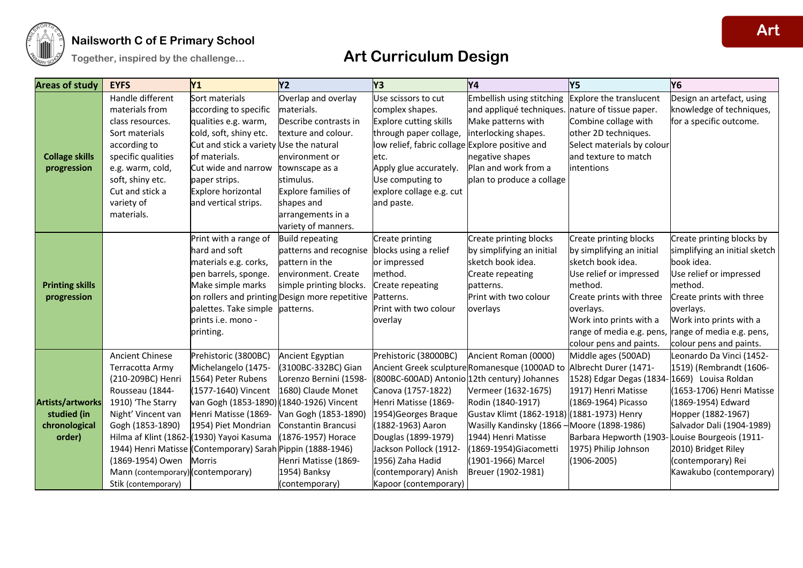

### **Nailsworth C of E Primary School**

| <b>Areas of study</b>  | <b>EYFS</b>                        | Y1                                                          | Y <sub>2</sub>                                 | Y3                                              | Y4                                           | Y5                                          | Y <sub>6</sub>                                      |
|------------------------|------------------------------------|-------------------------------------------------------------|------------------------------------------------|-------------------------------------------------|----------------------------------------------|---------------------------------------------|-----------------------------------------------------|
|                        | Handle different                   | Sort materials                                              | Overlap and overlay                            | Use scissors to cut                             | Embellish using stitching                    | <b>Explore the translucent</b>              | Design an artefact, using                           |
|                        | materials from                     | according to specific                                       | materials.                                     | complex shapes.                                 | and appliqué techniques.                     | nature of tissue paper.                     | knowledge of techniques,                            |
|                        | class resources.                   | qualities e.g. warm,                                        | Describe contrasts in                          | Explore cutting skills                          | Make patterns with                           | Combine collage with                        | for a specific outcome.                             |
|                        | Sort materials                     | cold, soft, shiny etc.                                      | texture and colour.                            | through paper collage,                          | interlocking shapes.                         | other 2D techniques.                        |                                                     |
|                        | according to                       | Cut and stick a variety Use the natural                     |                                                | low relief, fabric collage Explore positive and |                                              | Select materials by colour                  |                                                     |
| <b>Collage skills</b>  | specific qualities                 | of materials.                                               | environment or                                 | etc.                                            | negative shapes                              | and texture to match                        |                                                     |
| progression            | e.g. warm, cold,                   | Cut wide and narrow                                         | townscape as a                                 | Apply glue accurately.                          | Plan and work from a                         | intentions                                  |                                                     |
|                        | soft, shiny etc.                   | paper strips.                                               | stimulus.                                      | Use computing to                                | plan to produce a collage                    |                                             |                                                     |
|                        | Cut and stick a                    | Explore horizontal                                          | Explore families of                            | explore collage e.g. cut                        |                                              |                                             |                                                     |
|                        | variety of                         | and vertical strips.                                        | shapes and                                     | and paste.                                      |                                              |                                             |                                                     |
|                        | materials.                         |                                                             | arrangements in a                              |                                                 |                                              |                                             |                                                     |
|                        |                                    |                                                             | variety of manners.                            |                                                 |                                              |                                             |                                                     |
|                        |                                    | Print with a range of                                       | <b>Build repeating</b>                         | Create printing                                 | Create printing blocks                       | Create printing blocks                      | Create printing blocks by                           |
|                        |                                    | hard and soft                                               | patterns and recognise                         | blocks using a relief                           | by simplifying an initial                    | by simplifying an initial                   | simplifying an initial sketch                       |
|                        |                                    | materials e.g. corks,                                       | battern in the                                 | or impressed                                    | sketch book idea.                            | sketch book idea.                           | book idea.                                          |
|                        |                                    | pen barrels, sponge.                                        | environment. Create                            | method.                                         | Create repeating                             | Use relief or impressed                     | Use relief or impressed                             |
| <b>Printing skills</b> |                                    | Make simple marks                                           | simple printing blocks.                        | Create repeating                                | patterns.                                    | method.                                     | method.                                             |
| progression            |                                    |                                                             | on rollers and printing Design more repetitive | Patterns.                                       | Print with two colour                        | Create prints with three                    | Create prints with three                            |
|                        |                                    | palettes. Take simple                                       | patterns.                                      | Print with two colour                           | overlays                                     | overlays.                                   | overlays.                                           |
|                        |                                    | prints i.e. mono -                                          |                                                | overlay                                         |                                              | Work into prints with a                     | Work into prints with a                             |
|                        |                                    | printing.                                                   |                                                |                                                 |                                              |                                             | range of media e.g. pens, range of media e.g. pens, |
|                        |                                    |                                                             |                                                |                                                 |                                              | colour pens and paints.                     | colour pens and paints.                             |
|                        | <b>Ancient Chinese</b>             | Prehistoric (3800BC)                                        | Ancient Egyptian                               | Prehistoric (38000BC)                           | Ancient Roman (0000)                         | Middle ages (500AD)                         | Leonardo Da Vinci (1452-                            |
|                        | Terracotta Army                    | Michelangelo (1475-                                         | (3100BC-332BC) Gian                            |                                                 | Ancient Greek sculptureRomanesque (1000AD to | Albrecht Durer (1471-                       | 1519) (Rembrandt (1606-                             |
|                        | (210-209BC) Henri                  | 1564) Peter Rubens                                          | Lorenzo Bernini (1598-                         |                                                 | (800BC-600AD) Antonio 12th century) Johannes | 1528) Edgar Degas (1834-1669) Louisa Roldan |                                                     |
|                        | Rousseau (1844-                    | (1577-1640) Vincent                                         | 1680) Claude Monet                             | Canova (1757-1822)                              | Vermeer (1632-1675)                          | 1917) Henri Matisse                         | (1653-1706) Henri Matisse                           |
| Artists/artworks       | 1910) 'The Starry                  | van Gogh (1853-1890) (1840-1926) Vincent                    |                                                | Henri Matisse (1869-                            | Rodin (1840-1917)                            | (1869-1964) Picasso                         | (1869-1954) Edward                                  |
| studied (in            | Night' Vincent van                 | Henri Matisse (1869-                                        | Van Gogh (1853-1890)                           | 1954) Georges Braque                            | Gustav Klimt (1862-1918) (1881-1973) Henry   |                                             | Hopper (1882-1967)                                  |
| chronological          | Gogh (1853-1890)                   | 1954) Piet Mondrian                                         | Constantin Brancusi                            | (1882-1963) Aaron                               | Wasilly Kandinsky (1866 ·                    | Moore (1898-1986)                           | Salvador Dali (1904-1989)                           |
| order)                 |                                    | Hilma af Klint (1862-(1930) Yayoi Kasuma                    | (1876-1957) Horace                             | Douglas (1899-1979)                             | 1944) Henri Matisse                          | Barbara Hepworth (1903-                     | Louise Bourgeois (1911-                             |
|                        |                                    | 1944) Henri Matisse (Contemporary) Sarah Pippin (1888-1946) |                                                | Jackson Pollock (1912-                          | (1869-1954) Giacometti                       | 1975) Philip Johnson                        | 2010) Bridget Riley                                 |
|                        | (1869-1954) Owen                   | <b>Morris</b>                                               | Henri Matisse (1869-                           | 1956) Zaha Hadid                                | (1901-1966) Marcel                           | $(1906 - 2005)$                             | (contemporary) Rei                                  |
|                        | Mann (contemporary) (contemporary) |                                                             | 1954) Banksy                                   | (contemporary) Anish                            | Breuer (1902-1981)                           |                                             | Kawakubo (contemporary)                             |
|                        | Stik (contemporary)                |                                                             | (contemporary)                                 | Kapoor (contemporary)                           |                                              |                                             |                                                     |